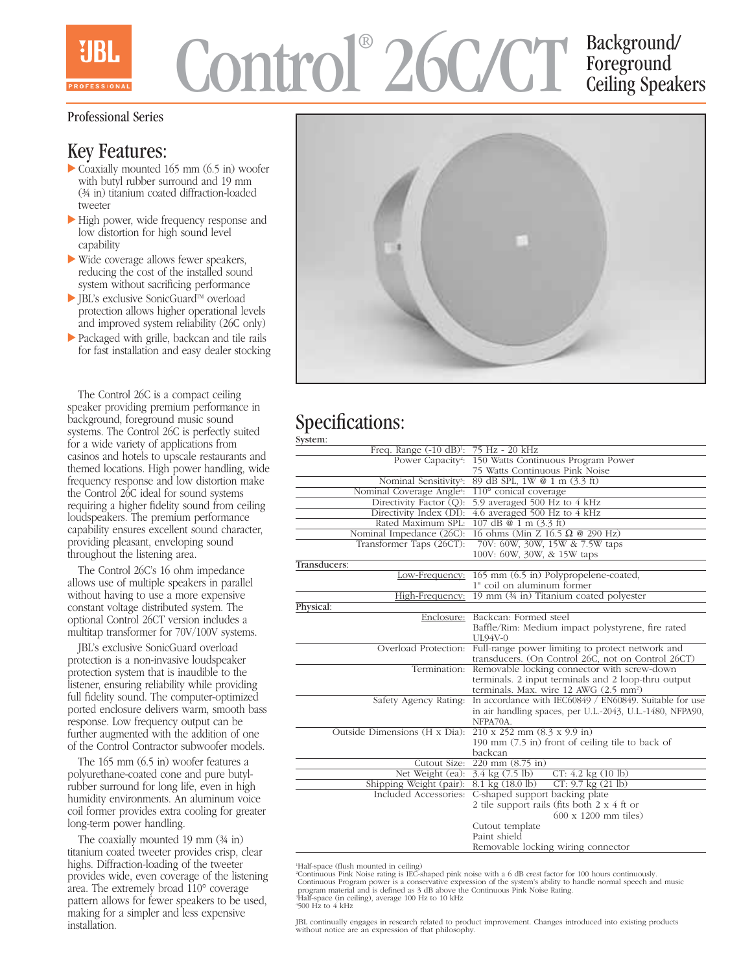# Control® 26C/CT Background/ Foreground Ceiling Speakers

#### Professional Series

## Key Features:

- $\triangleright$  Coaxially mounted 165 mm (6.5 in) woofer with butyl rubber surround and 19 mm (¾ in) titanium coated diffraction-loaded tweeter
- High power, wide frequency response and low distortion for high sound level capability
- Wide coverage allows fewer speakers, reducing the cost of the installed sound system without sacrificing performance
- $\blacktriangleright$  JBL's exclusive SonicGuard<sup>TM</sup> overload protection allows higher operational levels and improved system reliability (26C only)
- Packaged with grille, backcan and tile rails for fast installation and easy dealer stocking

The Control 26C is a compact ceiling speaker providing premium performance in background, foreground music sound systems. The Control 26C is perfectly suited for a wide variety of applications from casinos and hotels to upscale restaurants and themed locations. High power handling, wide frequency response and low distortion make the Control 26C ideal for sound systems requiring a higher fidelity sound from ceiling loudspeakers. The premium performance capability ensures excellent sound character, providing pleasant, enveloping sound throughout the listening area.

The Control 26C's 16 ohm impedance allows use of multiple speakers in parallel without having to use a more expensive constant voltage distributed system. The optional Control 26CT version includes a multitap transformer for 70V/100V systems.

JBL's exclusive SonicGuard overload protection is a non-invasive loudspeaker protection system that is inaudible to the listener, ensuring reliability while providing full fidelity sound. The computer-optimized ported enclosure delivers warm, smooth bass response. Low frequency output can be further augmented with the addition of one of the Control Contractor subwoofer models.

The 165 mm (6.5 in) woofer features a polyurethane-coated cone and pure butylrubber surround for long life, even in high humidity environments. An aluminum voice coil former provides extra cooling for greater long-term power handling.

The coaxially mounted 19 mm (¾ in) titanium coated tweeter provides crisp, clear highs. Diffraction-loading of the tweeter provides wide, even coverage of the listening area. The extremely broad  $110^{\circ}$  coverage pattern allows for fewer speakers to be used, making for a simpler and less expensive installation.



#### Specifications: System:

| Freq. Range (-10 dB) <sup>1</sup> : 75 Hz - 20 kHz                       |                                                                               |
|--------------------------------------------------------------------------|-------------------------------------------------------------------------------|
|                                                                          | Power Capacity <sup>2</sup> : 150 Watts Continuous Program Power              |
|                                                                          | 75 Watts Continuous Pink Noise                                                |
| Nominal Sensitivity3:                                                    | 89 dB SPL, 1W @ 1 m (3.3 ft)                                                  |
| Nominal Coverage Angle <sup>4</sup> :                                    | 110° conical coverage                                                         |
| Directivity Factor (Q):                                                  | 5.9 averaged 500 Hz to 4 kHz                                                  |
| Directivity Index (DI):                                                  | 4.6 averaged 500 Hz to 4 kHz                                                  |
| Rated Maximum SPL:                                                       | 107 dB @ 1 m (3.3 ft)                                                         |
| Nominal Impedance (26C):                                                 | 16 ohms (Min Z $16.5 \Omega$ @ 290 Hz)                                        |
| Transformer Taps (26CT):                                                 | 70V: 60W, 30W, 15W & 7.5W taps                                                |
|                                                                          | 100V: 60W, 30W, & 15W taps                                                    |
| Transducers:                                                             |                                                                               |
|                                                                          | Low-Frequency: 165 mm (6.5 in) Polypropelene-coated,                          |
|                                                                          | 1" coil on aluminum former                                                    |
| High-Frequency:                                                          | 19 mm (34 in) Titanium coated polyester                                       |
| Physical:                                                                |                                                                               |
|                                                                          | Enclosure: Backcan: Formed steel                                              |
|                                                                          | Baffle/Rim: Medium impact polystyrene, fire rated                             |
|                                                                          | <b>UL94V-0</b>                                                                |
| Overload Protection:                                                     | Full-range power limiting to protect network and                              |
|                                                                          | transducers. (On Control 26C, not on Control 26CT)                            |
| Termination:                                                             | Removable locking connector with screw-down                                   |
|                                                                          | terminals. 2 input terminals and 2 loop-thru output                           |
|                                                                          | terminals. Max. wire 12 AWG (2.5 mm <sup>2</sup> )                            |
| Safety Agency Rating:                                                    | In accordance with IEC60849 / EN60849. Suitable for use                       |
|                                                                          | in air handling spaces, per U.L.-2043, U.L.-1480, NFPA90,                     |
|                                                                          | NFPA70A.                                                                      |
| Outside Dimensions (H x Dia): $210 \times 252$ mm $(8.3 \times 9.9)$ in) |                                                                               |
|                                                                          | 190 mm (7.5 in) front of ceiling tile to back of                              |
|                                                                          | backcan                                                                       |
| Cutout Size:                                                             | $\overline{220 \text{ mm}} (8.75 \text{ in})$                                 |
| Net Weight (ea): 3.4 kg (7.5 lb)                                         | $CT: 4.2$ kg $(10 \text{ lb})$                                                |
| Shipping Weight (pair):<br>Included Accessories:                         | $8.1 \text{ kg} (18.0 \text{ lb})$<br>$CT: 9.7$ kg $(21$ lb)                  |
|                                                                          | C-shaped support backing plate<br>2 tile support rails (fits both 2 x 4 ft or |
|                                                                          | 600 x 1200 mm tiles)                                                          |
|                                                                          |                                                                               |
|                                                                          | Cutout template<br>Paint shield                                               |
|                                                                          |                                                                               |
|                                                                          | Removable locking wiring connector                                            |

'Half-space (flush mounted in ceiling)<br>''Continuous Pink Noise rating is IEC-shaped pink noise with a 6 dB crest factor for 100 hours continuously.<br>''Continuous Program power is a conservative expression of the system's ab program material and is defined as 3 dB above the Continuous Pink Noise Rating. 3 Half-space (in ceiling), average 100 Hz to 10 kHz 4 500 Hz to 4 kHz

JBL continually engages in research related to product improvement. Changes introduced into existing products without notice are an expression of that philosophy.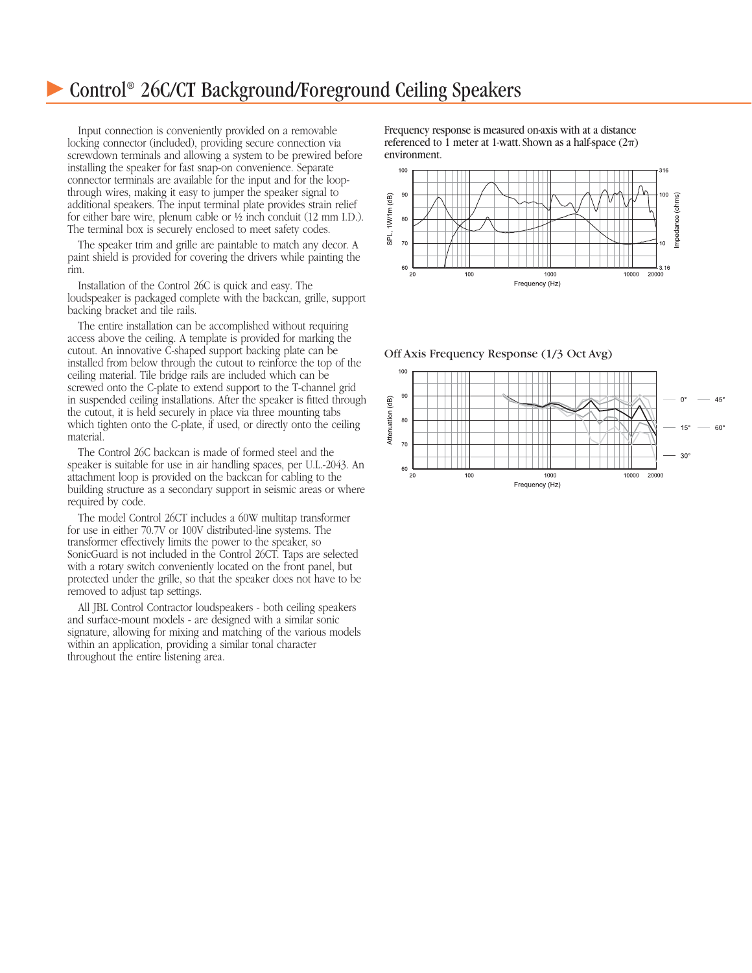## Control® 26C/CT Background/Foreground Ceiling Speakers

Input connection is conveniently provided on a removable locking connector (included), providing secure connection via screwdown terminals and allowing a system to be prewired before installing the speaker for fast snap-on convenience. Separate connector terminals are available for the input and for the loopthrough wires, making it easy to jumper the speaker signal to additional speakers. The input terminal plate provides strain relief for either bare wire, plenum cable or ½ inch conduit (12 mm I.D.). The terminal box is securely enclosed to meet safety codes.

The speaker trim and grille are paintable to match any decor. A paint shield is provided for covering the drivers while painting the rim.

Installation of the Control 26C is quick and easy. The loudspeaker is packaged complete with the backcan, grille, support backing bracket and tile rails.

The entire installation can be accomplished without requiring access above the ceiling. A template is provided for marking the cutout. An innovative C-shaped support backing plate can be installed from below through the cutout to reinforce the top of the ceiling material. Tile bridge rails are included which can be screwed onto the C-plate to extend support to the T-channel grid in suspended ceiling installations. After the speaker is fitted through the cutout, it is held securely in place via three mounting tabs which tighten onto the C-plate, if used, or directly onto the ceiling material.

The Control 26C backcan is made of formed steel and the speaker is suitable for use in air handling spaces, per U.L.-2043. An attachment loop is provided on the backcan for cabling to the building structure as a secondary support in seismic areas or where required by code.

The model Control 26CT includes a 60W multitap transformer for use in either 70.7V or 100V distributed-line systems. The transformer effectively limits the power to the speaker, so SonicGuard is not included in the Control 26CT. Taps are selected with a rotary switch conveniently located on the front panel, but protected under the grille, so that the speaker does not have to be removed to adjust tap settings.

All JBL Control Contractor loudspeakers - both ceiling speakers and surface-mount models - are designed with a similar sonic signature, allowing for mixing and matching of the various models within an application, providing a similar tonal character throughout the entire listening area.

Frequency response is measured on-axis with at a distance referenced to 1 meter at 1-watt. Shown as a half-space  $(2\pi)$ environment.



Off Axis Frequency Response (1/3 Oct Avg)

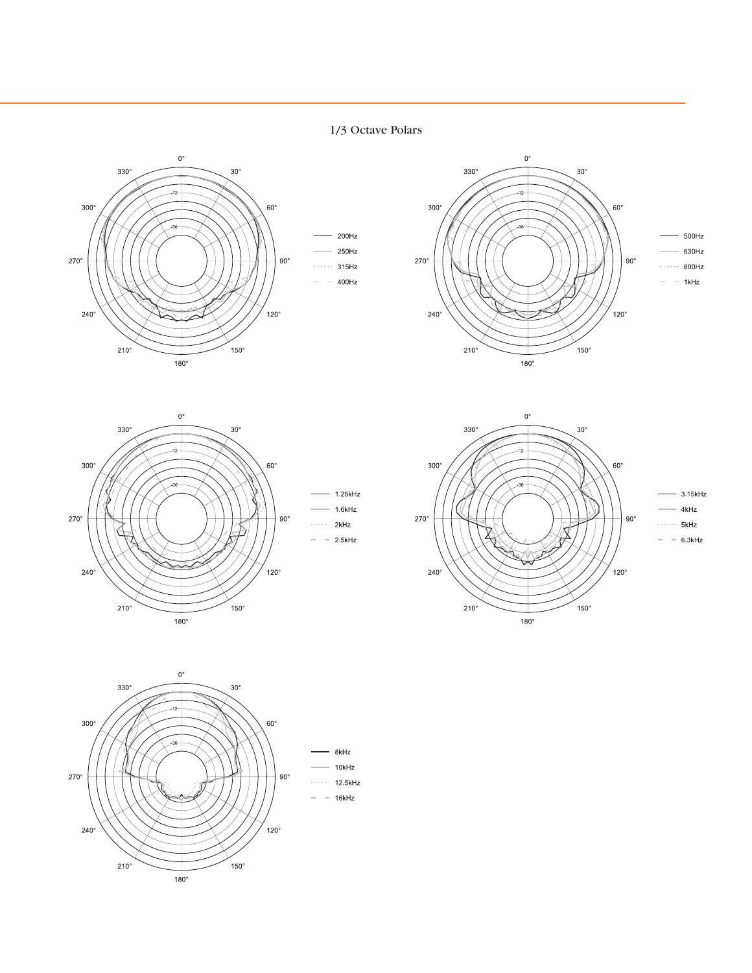1/3 Octave Polars